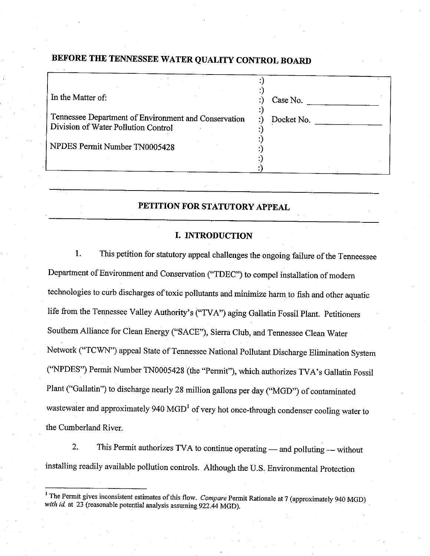# BEFORE THE TENNESSEE WATER QUALITY CONTROL BOARD

| In the Matter of:                                                                           | Case No.   |
|---------------------------------------------------------------------------------------------|------------|
| Tennessee Department of Environment and Conservation<br>Division of Water Pollution Control | Docket No. |
| NPDES Permit Number TN0005428                                                               |            |
|                                                                                             |            |

## PETITION FOR STATUTORY APPEAL

### I. INTRODUCTION

1. This petition for statutory appeal challenges the ongoing failure of the Tenneessee Departrnent of Environment and conservation ("TDEC') to compel installation of modem technologies to curb discharges of toxic pollutants and minimize harm to fish and other aquatic life from the Tennessee Valley Authority's ("TVA") aging Gallatin Fossil Plant. Petitioners Southern Alliance for Clean Energy ("SACE"), Sierra Club, and Tennessee Clean Water Network ("TCWN") appeal State of Tennessee National Pollutant Discharge Elimination System ("NPDES") Permit Number TN0005428 (the "Permit"), which authorizes TVA's Gallatin Fossil Plant ("Gallatin") to discharge nearly 28 million gallons per day ("MGD") of contaminated wastewater and approximately 940 MGD<sup>1</sup> of very hot once-through condenser cooling water to the Cumberland River.

2. This Permit authorizes TVA to continue operating — and polluting — without installing readily available pollution controls. Although the U.s. Environmental protection

<sup>&</sup>lt;sup>1</sup> The Permit gives inconsistent estimates of this flow. *Compare* Permit Rationale at 7 (approximately 940 MGD) with id. at 23 (reasonable potential analysis assuming 922.44 MGD).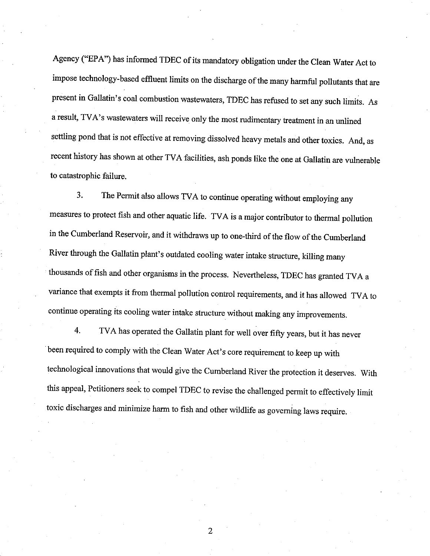Agency ("EPA") has informed TDEC of its mandatory obligation under the Clean Water Act to impose technology-based effluent limits on the discharge of the many harmful pollutants that are present in Gallatin's coal combustion wastewaters, TDEC has refused to set any such limits. As a result, TVA's wastewaters will receive only the most rudimentary treatment in an unlined settling pond that is not effective at removing dissolved heavy metals and other toxics. And, as recent history has shown at other TVA facilities, ash ponds like the one at Gallatin are vulnerable to catastrophic failure.

3. The Permit also allows TVA to continue operating without employing any measures to protect fish and other aquatic life. TVA is a major contributor to thermal pollution in the cumberland Reservoir, and it withdraws up to one-third of the flow of the cumberland River through the Gallatin plant's outdated cooling water intake struoture, killing many thousands of fish and other organisms in the process. Nevertheless, TDEC has granted TVA a variance that exempts it from thermal pollution control requirements, and it has allowed rvA to continue operating its cooling water intake structure without making any improvements.

4. TVA has operated the Gallatin plant for well over fifty years, but it has never been required to comply with the clean water Act's core requirement to.keep up with technologicaì innovations that would give the Cumberland River the protection jt deserves. With this appeal, Petitioners seek to compel TDEC to revise the challenged permit to effectively limit toxic discharges and minimize harm to fish and other wildlife as goveming laws require.

 $\overline{2}$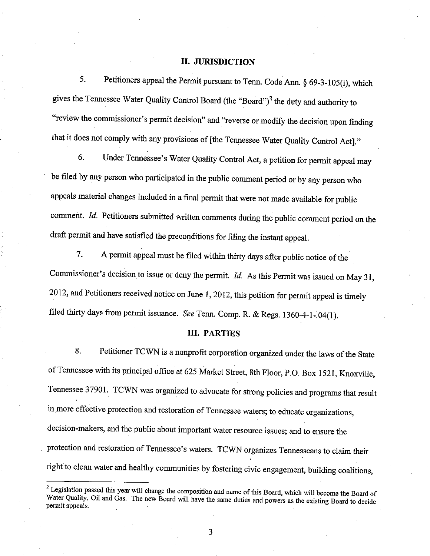## II. JURISDICTION

5. Petitioners appeal the Permit pursuant to Tenn. Code Ann.  $\S$  69-3-105(i), which gives the Tennessee Water Quality Control Board (the "Board")<sup>2</sup> the duty and authority to "review the commissioner's permit decision" and "reverse or modify the decision upon finding that it does not comply with any provisions of [the Tennessee Water Quality Control Act]."

6. Under Tennessee's Water Quality Control Act, a petition for permit appeal may be filed by any person who participated in the public comment period or by any person who appeals material changes included in a final permit that were not made available for public comment. Id. Petitioners submitted written comments during the public comment period on the draft permit and have satisfied the preconditions for filing the instant appeal.

7. A permit appeal must be filed within thirty days after public notice of the Commissioner's decision to issue or deny the permit.  $Id$ . As this Permit was issued on May 31, 2012, and Petitioners received notice on June 1, 2012, this petition for permit appeal is timely filed thirty days from permit issuance. See Tenn. Comp. R. & Regs. 1360-4-1-.04(1).

### III. PARTIES

8. Petitioner TCWN is a nonprofit corporation organized under the laws of the State of Tennessee with its principal office at 625 Market Street, 8th Floor, P.O. Box 1521, Knoxville, Tennessee 37901. TCWN was organized to advocate for strong policies and programs that result in more effective protection and restoration of Tennessee waters; to educate organizations, decision-makers, and the public about important water resource issues; and to ensure the protection and restoration of Tennessee's waters. TCWN organizes Tennesseans to claim their right to clean water and healthy communities by fostering civic engagement, building coalitions,

 $2$  Legislation passed this year will change the composition and name of this Board, which will become the Board of Water Quality, Oil and Gas. The new Board will have the same duties and powers as the existing Board to d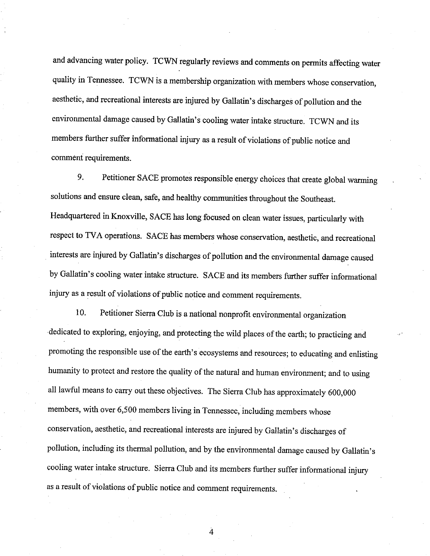and advancing water policy. TCWN regularly reviews and comments on permits affecting water quality in Tennessee. TCWN is a membership organization with members whose conservation, aesthetic, and recreational interests are injured by Gallatin's discharges of pollution and the environmental damage caused by Gallatin's cooling water intake structure. TCWN and its members further suffer informational injury as a result of violations of public notice and comment requirements.

9. Petitioner SACE promotes responsible energy choices that create global warming solutions and ensure clean, safe, and healthy communities throughout the Southeast. Headquartered in Knoxville, SACE has long focused on clean water issues, particularly with respect to TVA operations. SACE has members whose conservation, aesthetic, and recreational interests are injured by Gallatin's discharges of pollution and the environmental damage caused by Gallatin's cooling water intake structure. SACE and its members further suffer informational injury as a result of violations of public notice and comment requirements.

10. Petitioner Sierra Club is a national nonprofit environmental organization dedicated to exploring, enjoying, and protecting the wild places of the earth; to practicing and promoting the responsible use of the earth's ecosystems and resources; to educating and enlisting humanity to protect and restore the quality of the natural and human environment; and to using all lawful means to carry out these objectives. The Sierra Club has approximately 600,000 members, with over 6,500 members Iiving in Tennessee, including members whose conservation, aesthetic, and recreational interests are injured by Gallatin's discharges of pollution, including its thermal pollution, and by the environmental damage caused by Gallatin's cooling water intake structure. Sierra Club and its members further suffer informational injury as a result of violations of public notice and comment requirements.

 $\overline{\mathbf{4}}$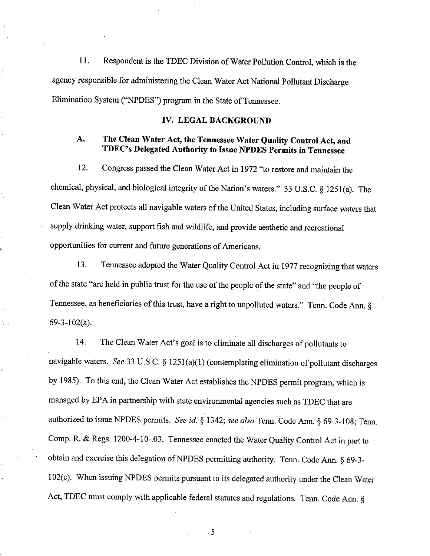11. Respondent is the TDEC Division of Water Pollution Control, which is the agency responsible for administering the Clean Water Act National Pollutant Discharge Elimination System ("NPDES") program in the State of Tennessee.

### IV. LEGAL BACKGROUND

### A. The Clean Water Act, the Tennessee Water Quality Control Act, and TDEC's Delegated Authority to Issue NPDES permits in Tennessee

12. Congress passed the Clean Water Act in 1972 "to restore and maintain the chemical, physical, and biological integrity of the Nation's waters." 33 U.S.C. § 1251(a). The Clean Water Act protects all navigable waters of the United States, including surface waters that supply drinking water, support fish and wildlife, and provide aesthetic and recreational opportunities for current and future generations of Americans.

13. Tennessee adopted the Water Quality Control Act in 1977 recognizing that waters of the state "are held in public trust for the use of the people of the state" and "the people of Tennessee, as beneficiaries of this trust, have a right to unpolluted waters." Tenn. Code Ann.  $\S$ 69-3-102(a).

14. The Clean Water Act's goal is to eliminate all discharges of pollutants to navigable waters. See 33 U.S.C. § 1251(a)(1) (contemplating elimination of pollutant discharges by 1985). To this end, the Clean Water Act establishes the NPDES permit program, which is managed by EPA in partnership with state environmental agencies such as TDEC that are authorized to issue NPDES permits. See id. § 1342; see also Tenn. Code Ann. § 69-3-108; Tenn. Comp. R. & Regs. 1200-4-10-.03. Tennessee enacted the Water Quality Control Act in part to obtain and exercise this delegation of NPDES permitting authority. Tenn. Code Ann. § 69-3-102(c). When issuing NPDES permits pusuant to its delegated authority under the Clean Water Act, TDEC must comply with applicable federal statutes and regulations. Tenn. Code Ann. §

 $\overline{5}$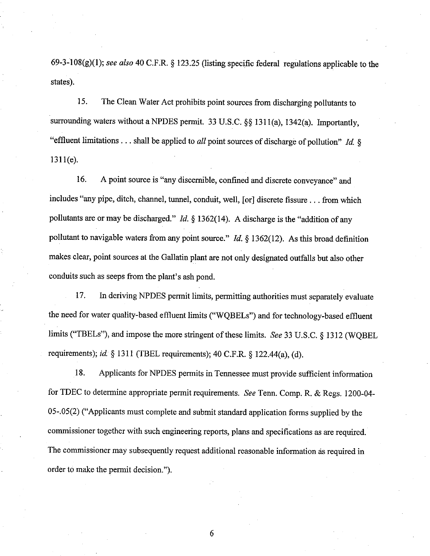69-3-108(g)(l); see also 40 C.F.R. ç 123.25 (listing specific federal regulations applicable to the states).

15. The Clean Water Act prohibits point sources from discharging pollutants to surrounding waters without a NPDES permit. 33 U.S.C. §§ 1311(a), 1342(a). Importantly, "effluent limitations . . . shall be applied to *all* point sources of discharge of pollution" *Id.*  $\S$  $1311(e)$ .

16. A point source is "any discernible, confined and discrete conveyance" and includes "any pipe, ditch, channel, tunnel, conduit, well, [or] discrete fissure . . . fiom which pollutants are or may be discharged." Id.  $\S$  1362(14). A discharge is the "addition of any pollutant to navigable waters from any point source." Id. § 1362(12). As this broad definition makes clear, point sources at the Gallatin plant are not only designated outfalls but also other conduits such as seeps from the plaat's ash pond.

17. ln deriving NPDES permit limits, permitting authorities must separately evaluate the need for water quality-based effluent limits ("WQBELs") and for technology-based effluent limits ("TBELs"), and impose the more stringent of these limits. *See* 33 U.S.C.  $\S$  1312 (WQBEL requirements); id.  $\S$  1311 (TBEL requirements); 40 C.F.R.  $\S$  122.44(a), (d).

18. Applicants for NPDES permits in Tennessee must provide sufficient information for TDEC to determine appropriate permit requirements. See Tenn. Comp. R. & Regs. 1200-04-05-.05(2) ("Applicants must complete and submit standard application forms supplied by the commissioner together with such engineering reports, plans and specifications as are required. The commissioner may subsequently request additional reasonable information ás required in order to make the permit decision.").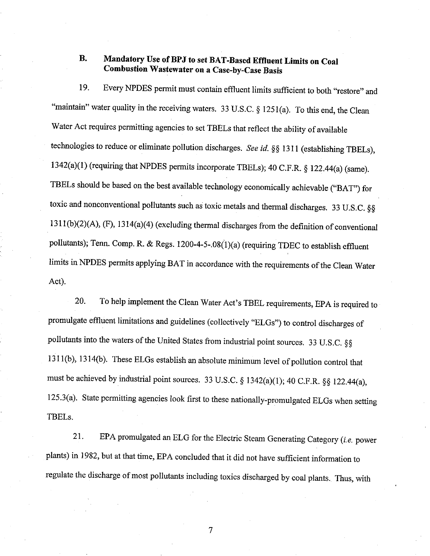### **B.** Mandatory Use of BPJ to set BAT-Based Effluent Limits on Coal **Combustion Wastewater on a Case-by-Case Basis**

Every NPDES permit must contain effluent limits sufficient to both "restore" and 19. "maintain" water quality in the receiving waters. 33 U.S.C. § 1251(a). To this end, the Clean Water Act requires permitting agencies to set TBELs that reflect the ability of available technologies to reduce or eliminate pollution discharges. See id. §§ 1311 (establishing TBELs), 1342(a)(1) (requiring that NPDES permits incorporate TBELs); 40 C.F.R. § 122.44(a) (same). TBELs should be based on the best available technology economically achievable ("BAT") for toxic and nonconventional pollutants such as toxic metals and thermal discharges. 33 U.S.C. §§ 1311(b)(2)(A), (F), 1314(a)(4) (excluding thermal discharges from the definition of conventional pollutants); Tenn. Comp. R. & Regs. 1200-4-5-.08(1)(a) (requiring TDEC to establish effluent limits in NPDES permits applying BAT in accordance with the requirements of the Clean Water Act).

To help implement the Clean Water Act's TBEL requirements, EPA is required to 20. promulgate effluent limitations and guidelines (collectively "ELGs") to control discharges of pollutants into the waters of the United States from industrial point sources. 33 U.S.C. §§ 1311(b), 1314(b). These ELGs establish an absolute minimum level of pollution control that must be achieved by industrial point sources. 33 U.S.C. § 1342(a)(1); 40 C.F.R. §§ 122.44(a), 125.3(a). State permitting agencies look first to these nationally-promulgated ELGs when setting TBEL<sub>s.</sub>

EPA promulgated an ELG for the Electric Steam Generating Category (i.e. power 21. plants) in 1982, but at that time, EPA concluded that it did not have sufficient information to regulate the discharge of most pollutants including toxics discharged by coal plants. Thus, with

 $\overline{7}$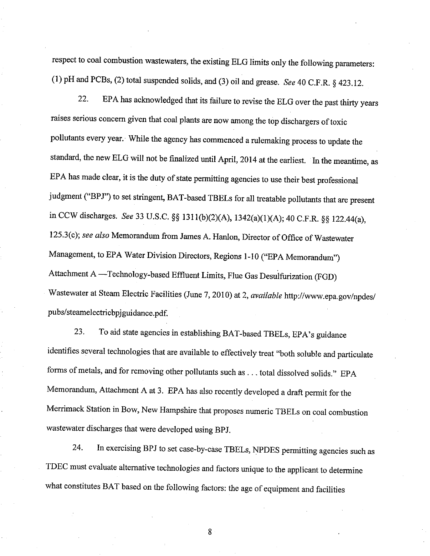respect to coal combustion wastewaters, the existing ELG limits only the following parameters: (1) pH and PCBs, (2) total suspended solids, and (3) oil and grease. See 40 C.F.R.  $\S$  423.12.

22. EPA has acknowledged that its failue to revise the ELG over the past thirty years raises serious concern given that coal plants are now among the top dischargers of toxic pollutants every year. While the agency has commenced a rulemaking process to update the standard, the new ELG will not be finalized until April, 2014 at the earliest. In the meantime, as EPA has made clear, it is the duty of state permitting agencies to use their best professional judgment ("BPJ") to set stringent, BAT-based TBELs for all treatable pollutants that are present in CCW discharges. See 33 U.S.C. §§ 1311(b)(2)(A), 1342(a)(1)(A); 40 C.F.R. §§ 122.44(a), 125.3(c); see also Memorandum from James A. Hanlon, Director of Office of Wastewater Management, to EPA Water Division Directors, Regions 1-10 ("EPA Memorandum") Attachment A -Technology-based Effluent Limits, Flue Gas Desuifurization (FGD) Wastewater at Steam Electric Facilities (June 7, 2010) at 2, available http://www.epa.gov/npdes/ pubs/steamelectricbpjguidance.pdf.

23. To aid state agencies in establishing BAT-based TBELs, EPA's guidance identifies several technologies that are available to effectively treat "both soluble and particulate forms of metals, and for removing other pollutants such as ... total dissolved solids." EPA Memorandum, Attachment A at 3. EpA has also recently developed a draft permit for the Merrimack station in Bow, New Hampshire that proposes numeric TBELs on coal combustion wastewater discharges that were developed using BpJ.

24. In exercising BpJ to set case-by-case TBELs, NpDES permitting agencies such as TDEC must evaluate alternative technologies and factors unique to the applicant to determine what constitutes BAT based on the following factors: the age of equipment and facilities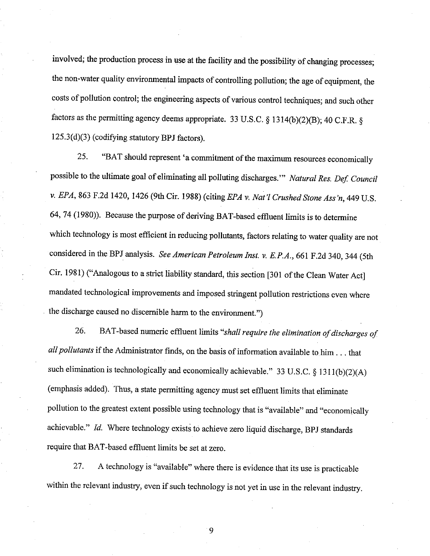involved; the production process in use at the facility and the possibility of changing processes; the non-water quality environmental impacts of controlling pollution; the age of equipment, the costs of pollution control; the engineering aspects of various control techniques; and such other factors as the permitting agency deems appropriate. 33 U.S.C. § 1314(b)(2)(B); 40 C.F.R. § 125.3(d)(3) (codifying statutory BPJ factors).

"BAT should represent 'a commitment of the maximum resources economically 25. possible to the ultimate goal of eliminating all polluting discharges." Natural Res. Def. Council v. EPA, 863 F.2d 1420, 1426 (9th Cir. 1988) (citing EPA v. Nat'l Crushed Stone Ass'n, 449 U.S. 64, 74 (1980)). Because the purpose of deriving BAT-based effluent limits is to determine which technology is most efficient in reducing pollutants, factors relating to water quality are not considered in the BPJ analysis. See American Petroleum Inst. v. E.P.A., 661 F.2d 340, 344 (5th Cir. 1981) ("Analogous to a strict liability standard, this section [301 of the Clean Water Act] mandated technological improvements and imposed stringent pollution restrictions even where the discharge caused no discernible harm to the environment.")

26. BAT-based numeric effluent limits "shall require the elimination of discharges of all pollutants if the Administrator finds, on the basis of information available to him . . . that such elimination is technologically and economically achievable." 33 U.S.C. § 1311(b)(2)(A) (emphasis added). Thus, a state permitting agency must set effluent limits that eliminate pollution to the greatest extent possible using technology that is "available" and "economically achievable." Id. Where technology exists to achieve zero liquid discharge, BPJ standards require that BAT-based effluent limits be set at zero.

A technology is "available" where there is evidence that its use is practicable 27. within the relevant industry, even if such technology is not yet in use in the relevant industry.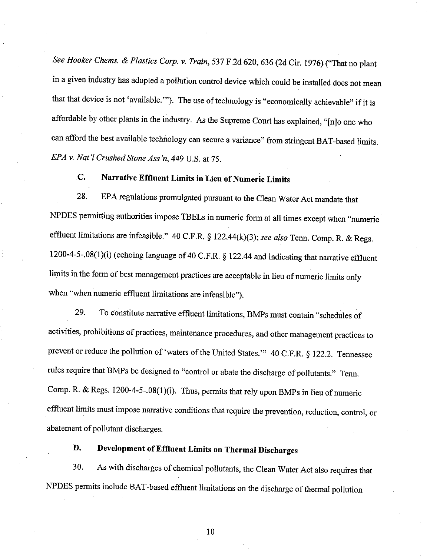See Hooker Chems. & Plastics Corp. v. Train, 537 F.2d 620, 636 (2d Cir. 1976) ("That no plant in a given industry has adopted a pollution control device which could be installed does not mean that that device is not 'available.'"). The use of technology is "economically achievable" if it is affordable by other plants in the industry. As the Supreme Court has explained, "[n]o one who can afford the best available technology can secure a variance" from stringent BAT-based limits. EPA v. Nat'l Crushed Stone Ass'n, 449 U.S. at 75.

#### $\mathbf{C}$ . Narrative Effluent Limits in Lieu of Numeric Limits

28. EPA regulations promulgated pursuant to the Clean Water Act mandate that NPDES permitting authorities impose TBELs in numeric form at all times except when "numeric effluent limitations are infeasible." 40 C.F.R. § 122.44(k)(3); see also Tenn. Comp. R. & Regs. 1200-4-5-.08(1)(i) (echoing language of 40 C.F.R. § 122.44 and indicating that narrative effluent limits in the form of best management practices are acceptable in lieu of numeric limits only when "when numeric effluent limitations are infeasible").

29. To constitute narrative effluent limitations, BMPs must contain "schedules of activities, prohibitions of practices, maintenance procedures, and other management practices to prevent or reduce the pollution of 'waters of the United States." 40 C.F.R. § 122.2. Tennessee rules require that BMPs be designed to "control or abate the discharge of pollutants." Tenn. Comp. R. & Regs. 1200-4-5-.08(1)(i). Thus, permits that rely upon BMPs in lieu of numeric effluent limits must impose narrative conditions that require the prevention, reduction, control, or abatement of pollutant discharges.

#### D. Development of Effluent Limits on Thermal Discharges

As with discharges of chemical pollutants, the Clean Water Act also requires that 30. NPDES permits include BAT-based effluent limitations on the discharge of thermal pollution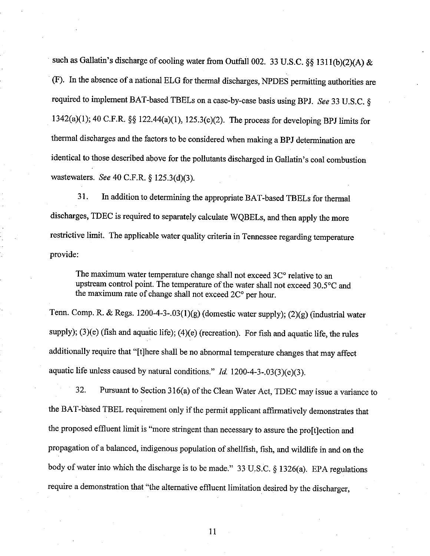such as Gallatin's discharge of cooling water from Outfall 002. 33 U.S.C. §§ 1311(b)(2)(A) & (F). In the absence of a national ELG for thermal discharges, NPDES permitting authorities are required to implement BAT-based TBELs on a case-by-case basis using BPJ. See 33 U.S.C. § 1342(a)(1); 40 C.F.R. §§ 122.44(a)(1), 125.3(c)(2). The process for developing BPJ limits for thermal discharges and the factors to be considered when making a BPJ determination are identical to those described above for the pollutants discharged in Gallatin's coal combustion wastewaters. See 40 C.F.R. § 125.3(d)(3).

31. In addition to determining the appropriate BAT-based TBELs for thermal discharges, TDEC is required to separately calculate WQBELs, and then apply the more restrictive limit. The applicable water quality criteria in Tennessee regarding temperature provide:

The maximum water temperature change shall not exceed 3C° relative to an upstream control point. The temperature of the water shall not exceed 30.5°C and the maximum rate of change shall not exceed 2C° per hour.

Tenn. Comp. R. & Regs. 1200-4-3-.03(1)(g) (domestic water supply); (2)(g) (industrial water supply); (3)(e) (fish and aquatic life); (4)(e) (recreation). For fish and aquatic life, the rules additionally require that "[t]here shall be no abnormal temperature changes that may affect aquatic life unless caused by natural conditions."  $Id$  1200-4-3-.03(3)(e)(3).

32. Pursuant to Section 316(a) of the Clean Water Act, TDEC may issue a variance to the BAT-based TBEL requirement only if the permit applicant affirmatively demonstrates that the proposed effluent limit is "more stringent than necessary to assure the pro[t]ection and propagation of a balanced, indigenous population of shellfish, fish, and wildlife in and on the body of water into which the discharge is to be made." 33 U.S.C. § 1326(a). EPA regulations require a demonstration that "the alternative effluent limitation desired by the discharger,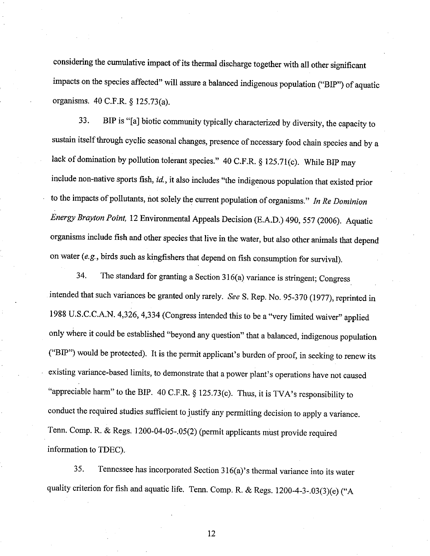considering the cumulative impact of its thermal discharge together with all other significant impacts on the species affected" will assure a balanced indigenous population ("BIP") of aquatic orgaaisms. 40 C.F.R. g 125.73(a).

33. BIP is "[a] biotic community typically characterized by diversity, the capacity to sustain itself through cyclic seasonal changes, presence of necessary food chain species and by a lack of domination by pollution tolerant species." 40 C.F.R. § 125.71(c). While BIP may include non-native sports fish, id., it also includes "the indigenous population that existed prior to the impacts of pollutants, not solely the current population of organisms." In Re Dominion Energy Brayton Point, 12 Environmental Appeals Decision (E.A.D.) 490, 557 (2006). Aquatic organisms include fish and other species that live in the water, but also other animals that depend on water (e.g., birds such as kingfishers that depend on fish consumption for survival).

34. The standard for granting a section 316(a) variance is stringent; congress intended that such variances be granted only rarely. See S. Rep. No. 95-370 (1977), reprinted in 1988 U.S.C.C.A.N. 4,326, 4,334 (Congress intended this to be a "very limited waiver" applied only where it could be established "beyond any question" that a balanced, indigenous population ("BIP") would be protected). It is the permit applicant's burden of proof, in seeking to renew its existing variance-based limits, to demonstrate that a power plant's operations have not caused "appreciable harm" to the BIP. 40 C.F.R. § 125.73(c). Thus, it is TVA's responsibility to conduct the required studies sufficient to justify any permitting decision to apply a variance. Tenn. Comp. R. & Regs. 1200-04-05-.05(2) (permit applicants must provide required information to TDEC).

35. Tennessee has incorporated section 316(a)'s thermal variance into its water quality criterion for fish and aquatic life. Tenn. Comp. R. & Regs.  $1200-4-3-03(3)(e)$  ("A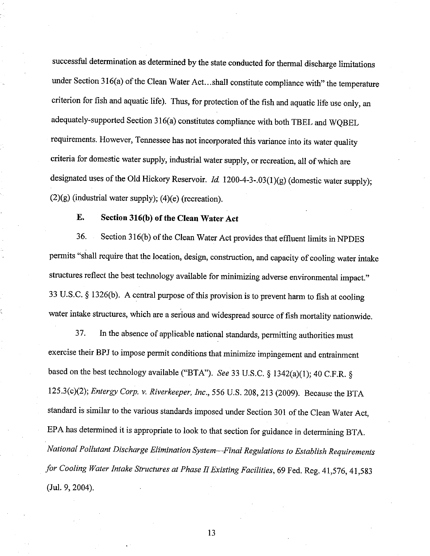successful determination as determined by the state conducted for thermal discharge limitations under Section 316(a) of the Clean Water Act...shall constitute compliance with" the temperature criterion for fish and aquatic life). Thus, for protection of the fish and aquatic life use only, an adequately-supported Section 316(a) constitutes compliance with both TBEL and WQBEL requirements. However, Tennessee has not incorporated this variance into its water quality criteria for domestic water supply, industrial water supply, or recreation, all of which are designated uses of the Old Hickory Reservoir.  $Id. 1200-4-3-.03(1)(g)$  (domestic water supply);  $(2)(g)$  (industrial water supply);  $(4)(e)$  (recreation).

#### Е. Section 316(b) of the Clean Water Act

36. Section 316(b) of the Clean Water Act provides that effluent limits in NPDES permits "shall require that the location, design, construction, and capacity of cooling water intake structures reflect the best technology available for minimizing adverse environmental impact." 33 U.S.C. § 1326(b). A central purpose of this provision is to prevent harm to fish at cooling water intake structures, which are a serious and widespread source of fish mortality nationwide.

In the absence of applicable national standards, permitting authorities must 37. exercise their BPJ to impose permit conditions that minimize impingement and entrainment based on the best technology available ("BTA"). See 33 U.S.C. § 1342(a)(1); 40 C.F.R. § 125.3(c)(2); Entergy Corp. v. Riverkeeper, Inc., 556 U.S. 208, 213 (2009). Because the BTA standard is similar to the various standards imposed under Section 301 of the Clean Water Act, EPA has determined it is appropriate to look to that section for guidance in determining BTA. National Pollutant Discharge Elimination System--Final Regulations to Establish Requirements for Cooling Water Intake Structures at Phase II Existing Facilities, 69 Fed. Reg. 41,576, 41,583 (Jul. 9, 2004).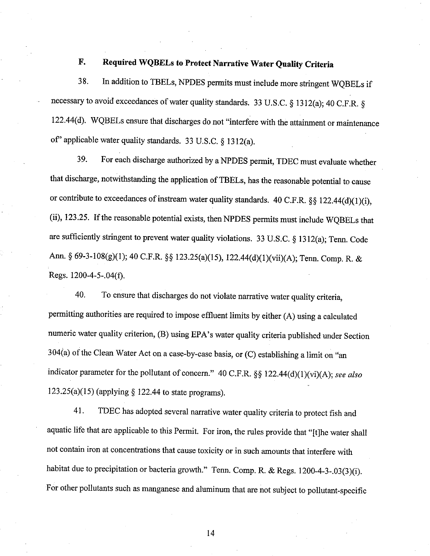#### $\mathbf{F}$ . Required WQBELs to Protect Narrative Water Quality Criteria

In addition to TBELs, NPDES permits must include more stringent WQBELs if 38. necessary to avoid exceedances of water quality standards. 33 U.S.C. § 1312(a); 40 C.F.R. § 122.44(d). WQBELs ensure that discharges do not "interfere with the attainment or maintenance of" applicable water quality standards. 33 U.S.C. § 1312(a).

For each discharge authorized by a NPDES permit, TDEC must evaluate whether 39. that discharge, notwithstanding the application of TBELs, has the reasonable potential to cause or contribute to exceedances of instream water quality standards. 40 C.F.R. §§ 122.44(d)(1)(i), (ii), 123.25. If the reasonable potential exists, then NPDES permits must include WQBELs that are sufficiently stringent to prevent water quality violations. 33 U.S.C. § 1312(a); Tenn. Code Ann. § 69-3-108(g)(1); 40 C.F.R. §§ 123.25(a)(15), 122.44(d)(1)(vii)(A); Tenn. Comp. R. & Regs. 1200-4-5-.04(f).

To ensure that discharges do not violate narrative water quality criteria, 40. permitting authorities are required to impose effluent limits by either (A) using a calculated numeric water quality criterion, (B) using EPA's water quality criteria published under Section 304(a) of the Clean Water Act on a case-by-case basis, or (C) establishing a limit on "an indicator parameter for the pollutant of concern." 40 C.F.R. §§ 122.44(d)(1)(vi)(A); see also 123.25(a)(15) (applying  $\S$  122.44 to state programs).

TDEC has adopted several narrative water quality criteria to protect fish and 41. aquatic life that are applicable to this Permit. For iron, the rules provide that "[t]he water shall not contain iron at concentrations that cause toxicity or in such amounts that interfere with habitat due to precipitation or bacteria growth." Tenn. Comp. R. & Regs. 1200-4-3-.03(3)(i). For other pollutants such as manganese and aluminum that are not subject to pollutant-specific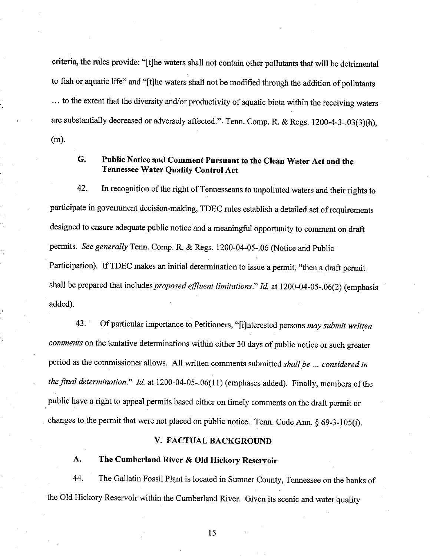criteria, the rules provide: "[t]he waters shall not contain other pollutants that will be detrimental to fish or aquatic life" and "[t]he waters shall not be modified through the addition of pollutants ... to the extent that the diversity and/or productivity of aquatic biota within the receiving waters are substantially decreased or adversely affected.". Tenn. Comp. R. & Regs. 1200-4-3-.03(3)(h),  $(m)$ .

### G. Public Notice and Comment Pursuant to the Clean Water Act and the **Tennessee Water Quality Control Act**

In recognition of the right of Tennesseans to unpolluted waters and their rights to 42. participate in government decision-making, TDEC rules establish a detailed set of requirements designed to ensure adequate public notice and a meaningful opportunity to comment on draft permits. See generally Tenn. Comp. R. & Regs. 1200-04-05-.06 (Notice and Public Participation). If TDEC makes an initial determination to issue a permit, "then a draft permit shall be prepared that includes proposed effluent limitations." Id. at 1200-04-05-.06(2) (emphasis added).

Of particular importance to Petitioners, "[i]nterested persons may submit written 43. comments on the tentative determinations within either 30 days of public notice or such greater period as the commissioner allows. All written comments submitted shall be ... considered in the final determination." Id. at 1200-04-05-.06(11) (emphases added). Finally, members of the public have a right to appeal permits based either on timely comments on the draft permit or changes to the permit that were not placed on public notice. Tenn. Code Ann. § 69-3-105(i).

### V. FACTUAL BACKGROUND

#### A. The Cumberland River & Old Hickory Reservoir

44. The Gallatin Fossil Plant is located in Sumner County, Tennessee on the banks of the Old Hickory Reservoir within the Cumberland River. Given its scenic and water quality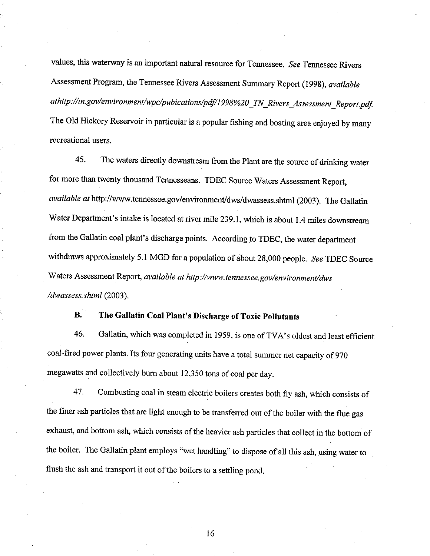values, this waterway is an important natural resource for Tennessee. See Tennessee Rivers Assessment Program, the Tennessee Rivers Assessment Summary Report (1998), available athttp://tn.gov/environment/wpc/pubications/pdf/1998%20\_TN\_Rivers\_Assessment\_Report.pdf. The Old Hickory Reservoir in particular is a popular fishing and boating area enjoyed by many recreational users.

45. The waters directly downstream from the Plant are the source of drinking water for more than twenty thousand Tennesseans. TDEC Source Waters Assessment Report, available øf http://www.tennessee.gov/environment/dws/dwassess.shtml (2003). The Gallatin 'Water Department's intake is located at river mile 239.I, whtch is about 1.4 miles downstream from the Gallatin coal plant's discharge points. According to TDEC, the water department withdraws approximately 5.1 MGD for a population of about 28,000 people. See TDEC Source Waters Assessment Report, available at http://www.tennessee.gov/environment/dws /dwassess.shtml (2003).

## B. The Gallatin Coal Plant's Discharge of Toxic pollutants

46. Gallatin, which was completed in 1959, is one of TVA's oldest and least efhcient coal-fired power plants. Its four generating units have a total summer net capacity of 970 megawatts and collectively burn about 12,350 tons of coal per day.

47. Combusting coal in steam electric boilers creates both fly ash, which consists of the finer ash particles that are light enough to be transferred out of the boiler with the flue gas exhaust, and bottom ash, which consists of the heavier ash particles that collect in the bottom of the boiler. The Gallatin plaat employs "wet handling" to dispose of all this ash, using water to flush the ash and transport it out of the boilers to a settling pond.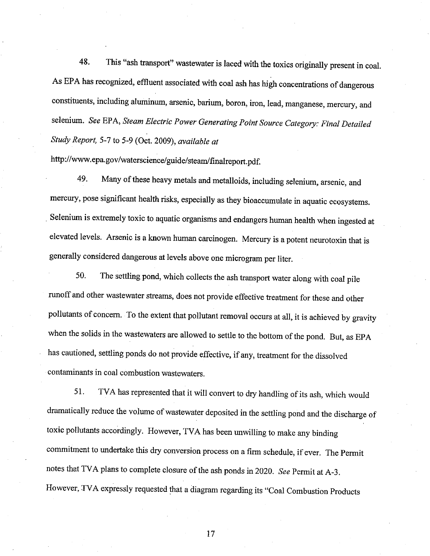48. This "ash transport" wastewater is laced with the toxics originally present ín coal. As EPA has recognized, effluent associated with coal ash has high concentrations of dangerous constituents, including aluminum, arsenic, barium, boron, iron, lead, manganese, mercury, and selenium. See EPA, Steam Electric Power Generating Point Source Category: Final Detailed Study Report, 5-7 to 5-9 (Oct. 2009), available at

http://www.epa.gov/waterscience/guide/steam/finalreport.pdf.

49. Many of these heavy metals and metalloids, including selenium, arsenic, and mercury, pose significant health risks, especially as they bioaccumulate in aquatic ecosystems. Selenium is extremely toxic to aquatic organisms and endangers human health when ingested at elevated levels. Arsenic is a known human carcinogen. Mercury is a potent neurotoxin that is generally considered dangerous at levels above one microgram per liter.

50. The settling pond, which collects the ash transport water along with coal pile runoff and other wastewater streams, does not provide effective teatment for these and other pollutants of concern. To the extent that pollutant removal occurs at all, it is achieved by gravity when the solids in the wastewaters are allowed to settle to the bottom of the pond. But, as EPA has cautioned, settling ponds do not provide effective, if any, treatment for the dissolved contaminants in coal combustion wastewaters.

51. TVA has represented that it will convert to dry handling of its ash, which would dramatically reduce the volume of wastewater deposited in the settling pond and the discharge of toxic pollutants accordingly. However, TVA has been unwilling to make any binding commitment to undertake this dry conversion process on a firm schedule, if ever. The permit notes that TVA plans to complete closure of the ash ponds in 2020. See Permit at A-3. However, TVA expressly requested that a diagram regarding its "Coal Combustion Products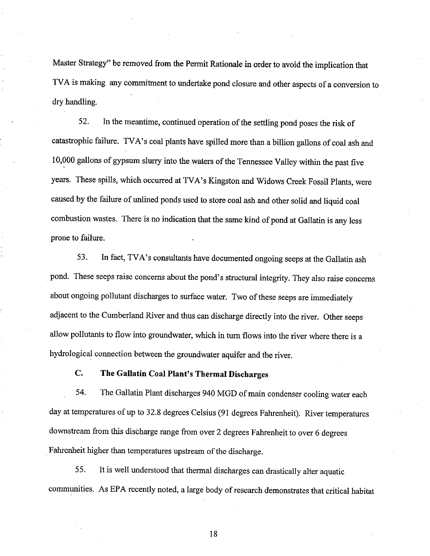Master Strategy" be removed from the Perrnit Rationale in order to avoid the implication that TVA is making any commitment to undertake pond closure and other aspects of a conversion to dry handling.

52. In the meantime, continued operation of the settling pond poses the risk of catastrophic failure. TVA's coal plants have spilled more than a billion gallons of coal ash and 10,000 gallons of gypsum slurry into the waters of the Tennessee Valley within the past five years. These spills, which occurred at TVA's Kingston and widows creek Fossil plants, were caused by the failure of unlined ponds used to store coal ash and other solid and liquid coal combustion wastes. There is no indication that the same kind of pond at Gallatin is any less prone to failure.

53. In fact, TVA's consultants have documented ongoing seeps at the Gallatin ash pond. These seeps raise concerns about the pond's structural integrity. They also raise concerns about ongoing pollutant discharges to surface water. Two of these seeps are immediately adjacent to the Cumberland River and thus can discharge directly into the river. Other seeps allow pollutants to flow into groundwater, which in tum flows into the river where there is <sup>a</sup> hydrological connection between the groundwater aquifer and the river.

### C. The Gallatin Coal Plant's Thermal Discharges

54. The Gallatin Plant discharges 940 MGD of main condenser cooling water each day at temperatures of up to 32.8 degrees Celsius (91 degrees Fahrenheit). River temperatures downstream from this discharge range from over 2 degrees Fahrenheit to over 6 degrees Fahrenheit higher than temperatures upstream of the discharge.

55. It is well understood that thermal discharges can drastically alter aquatic communities. As EPA recently noted, a large body of research demonstrates that critical habitat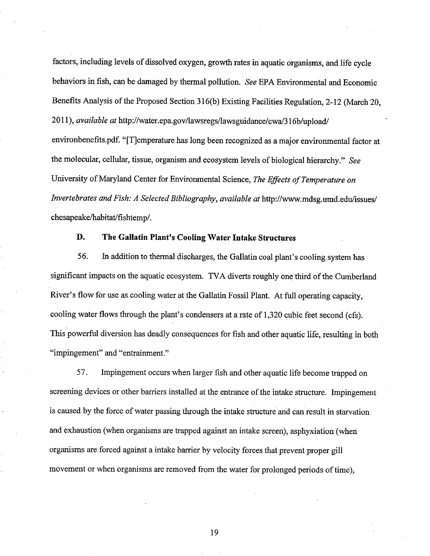factors, including levels of dissolved oxygen, growth rates in aquatic organisms, and life cycle behaviors in fish, can be damaged by thermal pollution. See EPA Environmental and Economic Benefits Analysis of the Proposed Section 316(b) Existing Facilities Regulation, 2-12 (March 20, 2011), available at http://water.epa.gov/lawsregs/lawsguidance/cwa/316b/upload/ environbenefits.pdf. "[T]emperature has long been recognized as a major environmental factor at the molecular, cellular, tissue, organism and ecosystem levels of biological hierarchy." See University of Maryland Center for Environmental Science, The Effects of Temperature on Invertebrates and Fish: A Selected Bibliography, available at http://www.mdsg.umd.edu/issues/ chesapeake/habitat/fishtemp/.

### D. The Gallatin Plant's Cooling Water Intake Structures

56. In addition to thermal discharges, the Gallatin coal plant's cooling system has significant impacts on the aquatic ecosystem. TVA diverts roughly one third of the Cumberland River's flow for use as cooling water at the Gallatin Fossil Plant. At full operating capacity, cooling water flows through the plant's condensers at a rate of 1,320 cubic feet second (cfs). This powerful diversion has deadly consequences for fish and other aquatic life, resulting in both "impingement" and "entrainment."

57. Impingement occurs when larger fish and other aquatic life become trapped on screening devices or other barriers installed at the entrance of the intake structure. Impingement is caused by the force of water passing through the intake structure and can result in starvation and exhaustion (when organisms are trapped against an intake screen), asphyxiation (when organisms are forced against a intake barrier by velocity forces that prevent proper gill movement or when organisms are removed from the water for prolonged periods of time),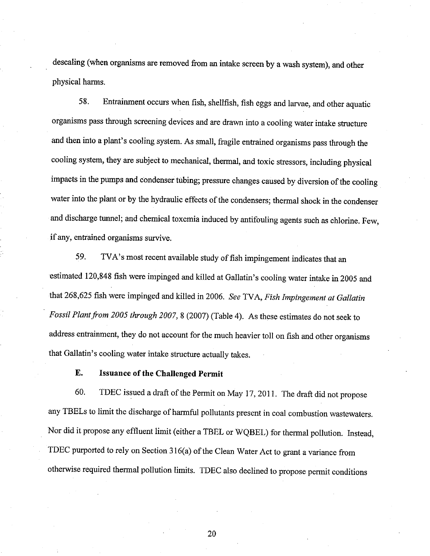descaling (when organisms are removed from an intake screen by a wash system), and other physical harms.

58. Entrainment occurs when fish, shellfish, fish eggs and larvae, and other aquatic organisms pass through screening devices and are drawn into a cooling water intake structure and then into a plant's cooling system. As small, fragile entrained organisms pass through the cooling system, they are subject to mechanical, thermal, and toxic stressors, including physical impacts in the pumps and condenser tubing; pressure changes caused by diversion of the cooling water into the plant or by the hydraulic effects of the condensers; thermal shock in the condenser and discharge tunnel; and chemical toxemia induced by antifouling agents such as chlorine. Few, if any, entrained organisms survive.

59. TVA's most recent available study of fish impingement indicates that an estimated 120,848 fish were impinged and killed at Gallatin's cooling water intake in 2005 and that 268,625 fish were impinged and killed in 2006. See TVA, Fish Impingement at Gallatin Fossil Plant from 2005 through 2007,8 (2007) (Table 4). As these estimates do nor seek ro address entrainment, they do not account for the much heavier toll on fish and other organisms that Gallatin's cooling water intake structure actually takes.

### E. Issuance of the Challenged Permit

60. TDEC issued a draft of the Permit on May 17, 2011. The draft did not propose any TBELs to limit the discharge of harmful pollutants present in coal combustion wastewaters. Nor did it propose any effluent limit (either a TBEL or WQBEL) for thermal pollution. Instead, TDEC purported to rely on Section 316(a) of the Clean Water Act to grant a variance from otherwise required thermal pollution limits. TDEC also declined to propose permit conditions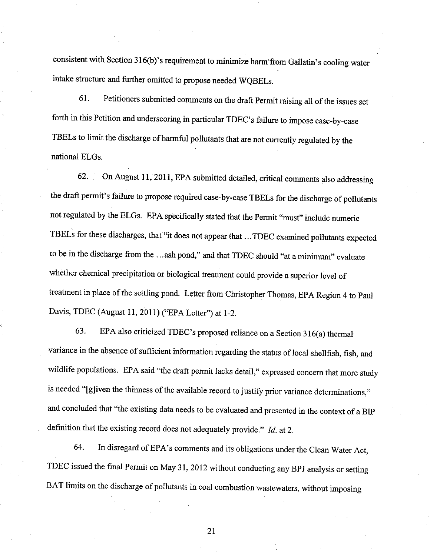consistent with Section 316(b)'s requirement to minimize harm'from Gallatin's cooling water intake structure and further omitted to propose needed WQBELs.

61. Petitioners submitted comments on the draft Permit raising all of the issues set forth in this Petition and underscoring in particular TDEC's failure to impose case-by-case TBELs to limit the discharge of harmful pollutants that are not currently regulated by the national ELGs.

62. On August 11, 2011, EPA submitted detailed, critical comments also addressing the draft permit's failure to propose required case-by-case TBELs for the discharge of pollutants not regulated by the ELGs. EPA specifically stated that the Permit "must" include numeric TBELs for these discharges, that "it does not appear that ...TDEC examined pollutants expected to be in the discharge from the …ash pond," and that TDEC should "at a minimum" evaluate whether chemical precipitation or biological treatment could provide a superior level of treatment in place of the settling pond. Letter from christopher Thomas, EpA Region 4 to paul Davis, TDEC (August 11, 2011) ("EPA Letter") at 1-2.

63. EPA also criticized TDEC's proposed reliance on a Section  $316(a)$  thermal variance in the absence of sufficient information regarding the status of local shellfish, fish, and wildlife populations. EPA said "the draft permit lacks detail," expressed concem that more study is needed "[g]iven the thinness of the available record to justify prior variance determinations," and concluded that "the existing data needs to be evaluated and presented in the context of a BIP definition that the existing record does not adequately provide."  $Id$ . at 2.

64. In disregard of EPA's comments and its obligations under the Clean Water Act, TDEC issued the final Permit on May 31, 2012 without conducting any BpJ analysis or setting BAT limits on the discharge of pollutants in coal combustion wastewaters, without imposing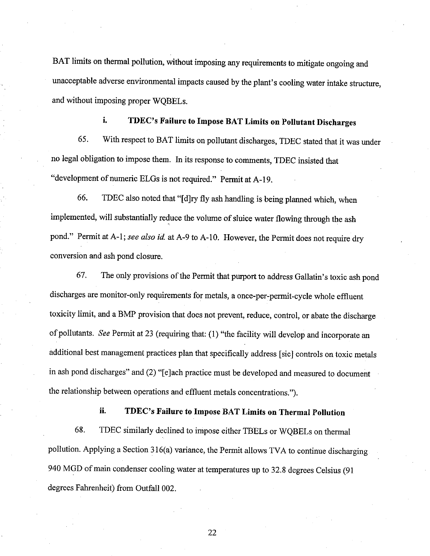BAT limits on thermal pollution, without imposing any requirements to mitigate ongoing and unacceptable adverse environmental impacts caused by the plant's cooling water intake structure, and without imposing proper WQBELs.

## i. TDEC's Failure to Impose BAT Limits on pollutant Discharges

65. With respect to BAT limits on pollutant discharges, TDEC stated that it was under no legal obligation to impose them. In its response to comments, TDEC insisted that "development of numeric ELGs is not required." Permit at A-19.

66. TDEC also noted that "[d]ry fly ash handling is being planned which, when implemented, will substantially reduce the volume of sluice water flowing through the ash pond." Permit at A-1; see also id. at A-9 to A-10. However, the Permit does not require dry conversiòn and ash pond closure.

67. The only provisions of the Permit that purport to address Gallatin's toxic ash pond discharges are monitor-only requirements for metals, a once-per-permit-cycle whole effluent toxicity limit, and a BMP provision that does not prevent, reduce, control, or abate the discharge of pollutants. See Permit at 23 (requiring that: (1) "the facility will develop and incorporate an additional best management practices plan that specifically address [sic] controls on toxic metals in ash pond discharges" and (2) "[e]ach practice must be developed and measured to document the relationship between operations and effluent metals concentrations.').

### ii. TDEC's Failure to Impose BAT Limits on Thermal pollution

68. TDEC similarly declined to impose either TBELs or WQBELs on thermal pollution. Applying a section 316(a) variance, the Permit allows TVA to continue discharging <sup>940</sup>MGD of main condenser cooling water at temperatures up to 32.8 degrees celsius (91 degrees Fahrenheit) from Outfall 002.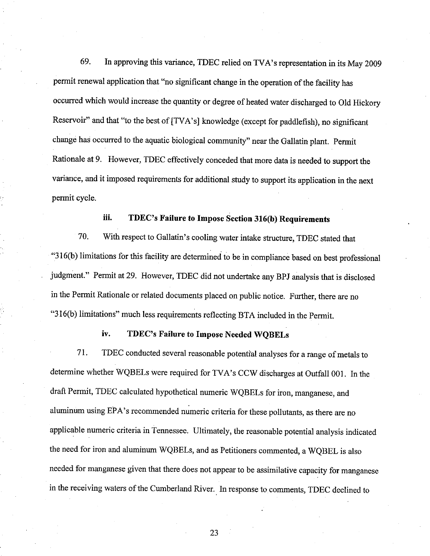69. In approving this variance, TDEC relied on TVA's representation in its May 2009 permit renewal application that "no significant change in the operation of the facility has occurred which would increase the quantity or degree of heated water discharged to Old Hickory Reservoir" and that "to the best of [TVA's] knowledge (except for paddlefish), no significant change has occurred to the aquatic biological community" near the Gallatin plant. permit Rationale at 9. However, TDEC effectively conceded that more data is needed to support the variance, and it imposed requirements for additional study to support its application in the next permit cycle.

### iii. TDEC's Failure to Impose Section 316(b) Requirements

70. With respect to Gallatin's cooling water intake structure, TDEC stated that "316(b) limitations for this facility are determined to be in compliance based on best professional judgment." Permit at 29. However, TDEC did not undertake any BPJ analysis that is disclosed in the Permit Rationale or related documents placed on public notice. Further, there are no "316(b) limitations" much less requirements reflecting BTA included in the permit.

### iv. TDEC's Failure to Impose Needed WQBELs

71. TDEC conducted several reasonable potential analyses for a range of metals to determine whether wQBELs were required for TVA's ccw discharges at outfall 001. In the draft Permit, TDEC calculated hypothetical numeric WQBELs for iron, manganese, and aluminum using EPA's recommended numeric criteria for these pollutants, as there are no applicable numeric criteria in Tennessee. Ultimately, the reasonable potential analysis indicated the need for iron and aluminum WQBELs, and as Petitioners commented, a WQBEL is also needed for manganese given that there does not appear to be assimilative capacity for manganese in the receiving waters of the cumberland River. In response to comments, TDEC declined to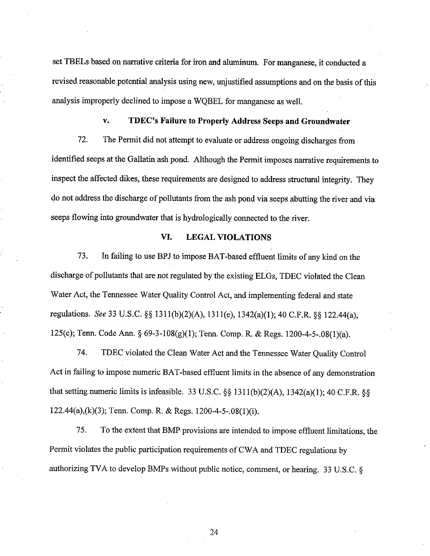set TBELs based on narrative criteria for iron and aluminum. For manganese, it conducted a revised reasonable potential analysis using new, unjustified assumptions and on the basis of this analysis improperly declined to impose a WQBEL for manganese as well.

#### TDEC's Failure to Properly Address Seeps and Groundwater V.

72. The Permit did not attempt to evaluate or address ongoing discharges from identified seeps at the Gallatin ash pond. Although the Permit imposes narrative requirements to inspect the affected dikes, these requirements are designed to address structural integrity. They do not address the discharge of pollutants from the ash pond via seeps abutting the river and via seeps flowing into groundwater that is hydrologically connected to the river.

#### VI. **LEGAL VIOLATIONS**

73. In failing to use BPJ to impose BAT-based effluent limits of any kind on the discharge of pollutants that are not regulated by the existing ELGs, TDEC violated the Clean Water Act, the Tennessee Water Quality Control Act, and implementing federal and state regulations. See 33 U.S.C. §§ 1311(b)(2)(A), 1311(e), 1342(a)(1); 40 C.F.R. §§ 122.44(a), 125(c); Tenn. Code Ann. § 69-3-108(g)(1); Tenn. Comp. R. & Regs. 1200-4-5-.08(1)(a).

74. TDEC violated the Clean Water Act and the Tennessee Water Quality Control Act in failing to impose numeric BAT-based effluent limits in the absence of any demonstration that setting numeric limits is infeasible. 33 U.S.C. §§ 1311(b)(2)(A), 1342(a)(1); 40 C.F.R. §§ 122.44(a),(k)(3); Tenn. Comp. R. & Regs. 1200-4-5-.08(1)(i).

75. To the extent that BMP provisions are intended to impose effluent limitations, the Permit violates the public participation requirements of CWA and TDEC regulations by authorizing TVA to develop BMPs without public notice, comment, or hearing. 33 U.S.C. §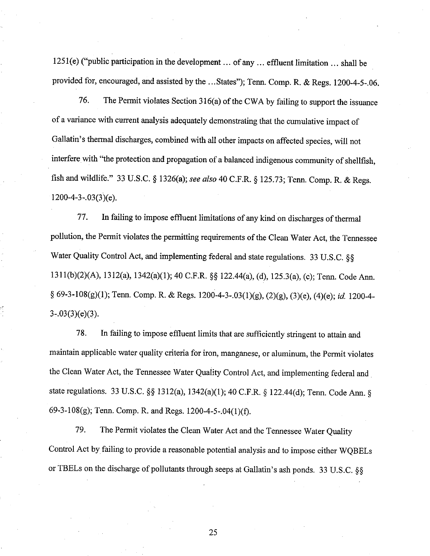l25l(e) ("public participation in the development... of any ... effluent limitation ... shall be provided for, encouraged, and assisted by the ... States"); Tenn. Comp. R. & Regs. 1200-4-5-.06.

76. The Permit violates Section  $316(a)$  of the CWA by failing to support the issuance of a variance with current analysis adequately demonstrating that the cumulative impact of Gallatin's thermal discharges, combined with all other impacts on affected species, will not interfere with "the protection and propagation of a balanced indigenous community of shellfish, fish and wildlife." 33 U.S.C. § 1326(a); see also 40 C.F.R. § 125.73; Tenn. Comp. R. & Regs.  $1200-4-3-.03(3)(e)$ .

77. In failing to impose effluent limitations of any kind on discharges of thermal pollution, the Permit violates the permitting requirements of the Clean Water Act, the Tennessee Water Quality Control Act, and implementing federal and state regulations. 33 U.S.C. §§ 1311(b)(2)(A), 1312(a), 1342(a)(1); 40 C.F.R. §§ 122.44(a), (d), 125.3(a), (c); Tenn. Code Ann. § 69-3-108(g)(1); Tenn. Comp. R. & Regs. 1200-4-3-.03(1)(g), (2)(g), (3)(e), (4)(e); id. 1200-4-3-.03(3)(e)(3).

78. In failing to impose effluent limits that are sufficiently stringent to attain and maintain applicable water quality criteria for iron, mangaaese, or aluminum, the permit violates the Clean Water Act, the Tennessee Water Quality Control Act, and implementing federal and state regulations. 33 U.S.C. §§ 1312(a), 1342(a)(1); 40 C.F.R. § 122.44(d); Tenn. Code Ann. § 69-3-108(g); Tenn. Comp. R. and Regs.  $1200-4-5-.04(1)(f)$ .

79. The Permit violates the Clean Water Act and the Tennessee Water Ouality Control Act by failing to provide a reasonable potential analysis and to impose either WQBELs or TBELs on the discharge of pollutants through seeps at Gallatin's ash ponds. 33 U.S.C.  $\S$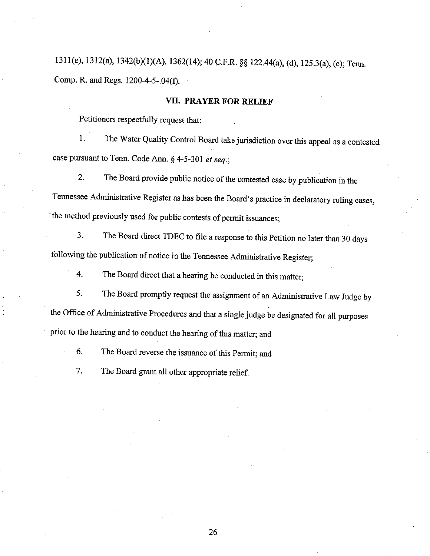1311(e), 1312(a), 1342(b)(1)(A), 1362(14); 40 C.F.R. §§ 122.44(a), (d), 125.3(a), (c); Tenn. Comp. R. and Regs. 1200-4-5-.04(Ð.

### VII. PRAYER FOR RELIEF

Petitioners respectfully request that:

<sup>1</sup>. The Water Quality Control Board take jurisdiction over this appeal as a contested case pursuant to Tenn. Code Ann.  $§$  4-5-301 et seq.;

2. The Board provide public notice of the contested case by publication in the Tennessee Administrative Register as has been the Board's practice in declaratory ruling cases, the method previously used for public contests of permit issuances;

3. The Board direct TDEC to file a response to this Petition no later than 30 days following the publication of notice in the Tennessee Administrative Register;

4. The Board direct that a hearing be conducted in this matter;

5. The Board promptly request the assignment of an Administrative Law Judge by the Office of Administrative Procedures and that a single judge be designated for all purposes prior to the hearing and to conduct the hearing of this matter; and

6. The Board reverse the issuance of this Permit; and

7. The Board grant all other appropriate relief.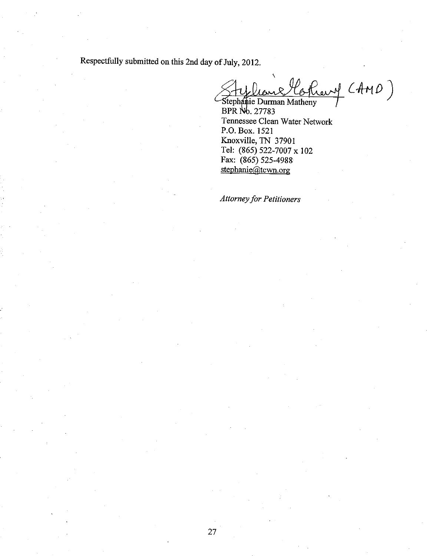Respectfully submitted on this 2nd day of July, 2012.

Cothary (AMD)

Stephanie Durman Matheny<br>BPR No. 27783 Tennessee Clean Water Network P.O. Box. 1521 Knoxville, TN 37901 Tel: (865) 522-7007 x 102 Fax: (865) 525-4988 stephanie@tcwn.org

**Attorney for Petitioners**